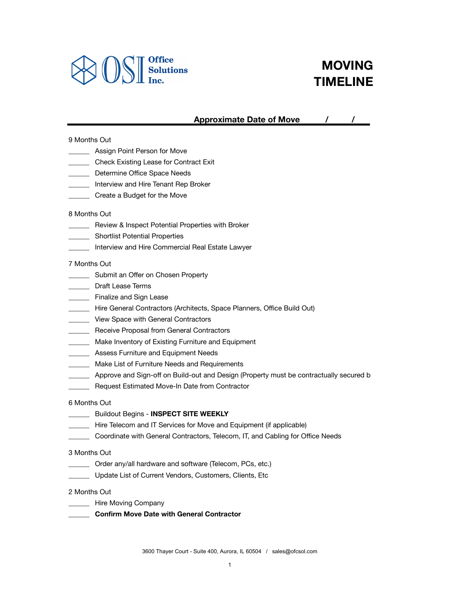

# **MOVING TIMELINE**

# Approximate Date of Move 1997

## 9 Months Out

- **\_\_\_\_\_\_\_** Assign Point Person for Move
- **\_\_\_\_\_\_** Check Existing Lease for Contract Exit
- **\_\_\_\_\_\_\_** Determine Office Space Needs
- **\_\_\_\_\_\_** Interview and Hire Tenant Rep Broker
- \_\_\_\_\_\_ Create a Budget for the Move

#### 8 Months Out

- **\_\_\_\_\_\_** Review & Inspect Potential Properties with Broker
- **\_\_\_\_\_\_** Shortlist Potential Properties
- \_\_\_\_\_\_ Interview and Hire Commercial Real Estate Lawyer

#### 7 Months Out

- **\_\_\_\_\_\_\_** Submit an Offer on Chosen Property
- \_\_\_\_\_\_ Draft Lease Terms
- \_\_\_\_\_ Finalize and Sign Lease
- \_\_\_\_\_\_ Hire General Contractors (Architects, Space Planners, Office Build Out)
- **Wiew Space with General Contractors**
- Receive Proposal from General Contractors
- **Make Inventory of Existing Furniture and Equipment**
- **\_\_\_\_\_ Assess Furniture and Equipment Needs**
- **\_\_\_\_\_\_** Make List of Furniture Needs and Requirements
- \_\_\_\_\_ Approve and Sign-off on Build-out and Design (Property must be contractually secured b
- \_\_\_\_\_\_ Request Estimated Move-In Date from Contractor

#### 6 Months Out

- \_\_\_\_\_\_ Buildout Begins **INSPECT SITE WEEKLY**
- \_\_\_\_\_\_ Hire Telecom and IT Services for Move and Equipment (if applicable)
- \_\_\_\_\_\_ Coordinate with General Contractors, Telecom, IT, and Cabling for Office Needs

#### 3 Months Out

- \_\_\_\_\_\_ Order any/all hardware and software (Telecom, PCs, etc.)
- \_\_\_\_\_\_ Update List of Current Vendors, Customers, Clients, Etc

#### 2 Months Out

- \_\_\_\_\_\_\_ Hire Moving Company
- \_\_\_\_\_\_ **Confirm Move Date with General Contractor**